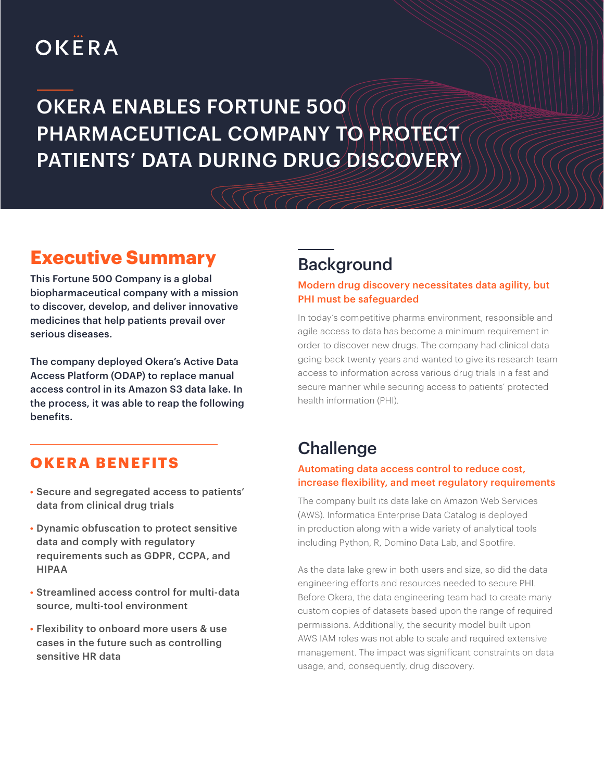# OKËRA

## OKERA ENABLES FORTUNE 500 PHARMACEUTICAL COMPANY TO PROTECT PATIENTS' DATA DURING DRUG DISCOVERY

## **Executive Summary**

This Fortune 500 Company is a global biopharmaceutical company with a mission to discover, develop, and deliver innovative medicines that help patients prevail over serious diseases.

The company deployed Okera's Active Data Access Platform (ODAP) to replace manual access control in its Amazon S3 data lake. In the process, it was able to reap the following benefits.

## **OKERA BENEFITS**

- Secure and segregated access to patients' data from clinical drug trials
- Dynamic obfuscation to protect sensitive data and comply with regulatory requirements such as GDPR, CCPA, and HIPAA
- Streamlined access control for multi-data source, multi-tool environment
- Flexibility to onboard more users & use cases in the future such as controlling sensitive HR data

## Background

#### Modern drug discovery necessitates data agility, but PHI must be safeguarded

In today's competitive pharma environment, responsible and agile access to data has become a minimum requirement in order to discover new drugs. The company had clinical data going back twenty years and wanted to give its research team access to information across various drug trials in a fast and secure manner while securing access to patients' protected health information (PHI).

## **Challenge**

#### Automating data access control to reduce cost, increase flexibility, and meet regulatory requirements

The company built its data lake on Amazon Web Services (AWS). Informatica Enterprise Data Catalog is deployed in production along with a wide variety of analytical tools including Python, R, Domino Data Lab, and Spotfire.

As the data lake grew in both users and size, so did the data engineering efforts and resources needed to secure PHI. Before Okera, the data engineering team had to create many custom copies of datasets based upon the range of required permissions. Additionally, the security model built upon AWS IAM roles was not able to scale and required extensive management. The impact was significant constraints on data usage, and, consequently, drug discovery.